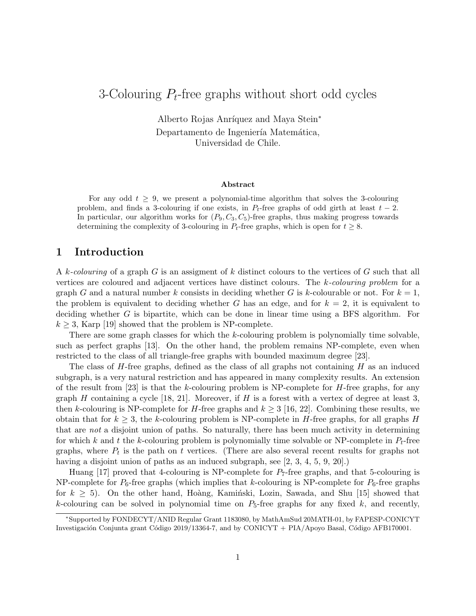# 3-Colouring  $P_t$ -free graphs without short odd cycles

Alberto Rojas Anríquez and Maya Stein<sup>\*</sup> Departamento de Ingeniería Matemática, Universidad de Chile.

#### Abstract

For any odd  $t \geq 9$ , we present a polynomial-time algorithm that solves the 3-colouring problem, and finds a 3-colouring if one exists, in  $P_t$ -free graphs of odd girth at least  $t-2$ . In particular, our algorithm works for  $(P_9, C_3, C_5)$ -free graphs, thus making progress towards determining the complexity of 3-colouring in  $P_t$ -free graphs, which is open for  $t \geq 8$ .

## 1 Introduction

A k-colouring of a graph G is an assigment of k distinct colours to the vertices of G such that all vertices are coloured and adjacent vertices have distinct colours. The k-colouring problem for a graph G and a natural number k consists in deciding whether G is k-colourable or not. For  $k = 1$ , the problem is equivalent to deciding whether G has an edge, and for  $k = 2$ , it is equivalent to deciding whether G is bipartite, which can be done in linear time using a BFS algorithm. For  $k \geq 3$ , Karp [19] showed that the problem is NP-complete.

There are some graph classes for which the k-colouring problem is polynomially time solvable, such as perfect graphs [13]. On the other hand, the problem remains NP-complete, even when restricted to the class of all triangle-free graphs with bounded maximum degree [23].

The class of  $H$ -free graphs, defined as the class of all graphs not containing  $H$  as an induced subgraph, is a very natural restriction and has appeared in many complexity results. An extension of the result from [23] is that the k-colouring problem is NP-complete for  $H$ -free graphs, for any graph H containing a cycle  $[18, 21]$ . Moreover, if H is a forest with a vertex of degree at least 3, then k-colouring is NP-complete for H-free graphs and  $k \geq 3$  [16, 22]. Combining these results, we obtain that for  $k \geq 3$ , the k-colouring problem is NP-complete in H-free graphs, for all graphs H that are not a disjoint union of paths. So naturally, there has been much activity in determining for which k and t the k-colouring problem is polynomially time solvable or NP-complete in  $P_t$ -free graphs, where  $P_t$  is the path on t vertices. (There are also several recent results for graphs not having a disjoint union of paths as an induced subgraph, see [2, 3, 4, 5, 9, 20].)

Huang [17] proved that 4-colouring is NP-complete for  $P_7$ -free graphs, and that 5-colouring is NP-complete for  $P_6$ -free graphs (which implies that k-colouring is NP-complete for  $P_6$ -free graphs for  $k \geq 5$ ). On the other hand, Hoàng, Kaminski, Lozin, Sawada, and Shu [15] showed that k-colouring can be solved in polynomial time on  $P_5$ -free graphs for any fixed k, and recently,

<sup>∗</sup>Supported by FONDECYT/ANID Regular Grant 1183080, by MathAmSud 20MATH-01, by FAPESP-CONICYT Investigación Conjunta grant Código 2019/13364-7, and by CONICYT + PIA/Apoyo Basal, Código AFB170001.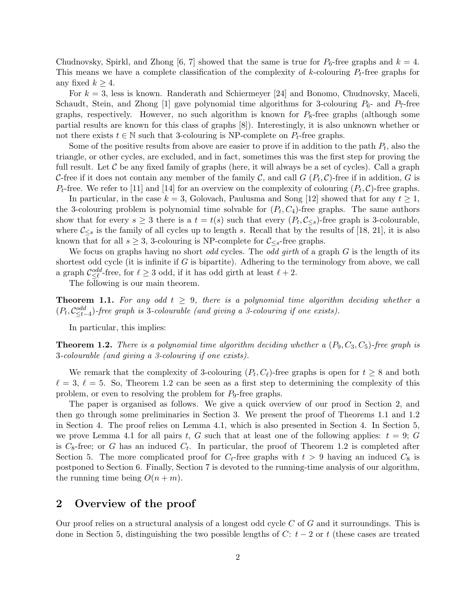Chudnovsky, Spirkl, and Zhong [6, 7] showed that the same is true for  $P_6$ -free graphs and  $k = 4$ . This means we have a complete classification of the complexity of k-colouring  $P_t$ -free graphs for any fixed  $k \geq 4$ .

For  $k = 3$ , less is known. Randerath and Schiermeyer [24] and Bonomo, Chudnovsky, Maceli, Schaudt, Stein, and Zhong [1] gave polynomial time algorithms for 3-colouring  $P_6$ - and  $P_7$ -free graphs, respectively. However, no such algorithm is known for  $P_8$ -free graphs (although some partial results are known for this class of graphs [8]). Interestingly, it is also unknown whether or not there exists  $t \in \mathbb{N}$  such that 3-colouring is NP-complete on  $P_t$ -free graphs.

Some of the positive results from above are easier to prove if in addition to the path  $P_t$ , also the triangle, or other cycles, are excluded, and in fact, sometimes this was the first step for proving the full result. Let  $\mathcal C$  be any fixed family of graphs (here, it will always be a set of cycles). Call a graph C-free if it does not contain any member of the family C, and call  $G(P_t, \mathcal{C})$ -free if in addition, G is  $P_t$ -free. We refer to [11] and [14] for an overview on the complexity of colouring  $(P_t, C)$ -free graphs.

In particular, in the case  $k = 3$ , Golovach, Paulusma and Song [12] showed that for any  $t \geq 1$ , the 3-colouring problem is polynomial time solvable for  $(P_t, C_4)$ -free graphs. The same authors show that for every  $s \geq 3$  there is a  $t = t(s)$  such that every  $(P_t, C_{\leq s})$ -free graph is 3-colourable, where  $\mathcal{C}_{\leq s}$  is the family of all cycles up to length s. Recall that by the results of [18, 21], it is also known that for all  $s \geq 3$ , 3-colouring is NP-complete for  $\mathcal{C}_{\leq s}$ -free graphs.

We focus on graphs having no short *odd* cycles. The *odd girth* of a graph  $G$  is the length of its shortest odd cycle (it is infinite if  $G$  is bipartite). Adhering to the terminology from above, we call a graph  $\mathcal{C}^{odd}_{\leq \ell}$ -free, for  $\ell \geq 3$  odd, if it has odd girth at least  $\ell + 2$ .

The following is our main theorem.

**Theorem 1.1.** For any odd  $t \geq 9$ , there is a polynomial time algorithm deciding whether a  $(P_t, C_{\leq t-4}^{odd})$ -free graph is 3-colourable (and giving a 3-colouring if one exists).

In particular, this implies:

**Theorem 1.2.** There is a polynomial time algorithm deciding whether a  $(P_9, C_3, C_5)$ -free graph is 3-colourable (and giving a 3-colouring if one exists).

We remark that the complexity of 3-colouring  $(P_t, C_\ell)$ -free graphs is open for  $t \geq 8$  and both  $\ell = 3, \ell = 5$ . So, Theorem 1.2 can be seen as a first step to determining the complexity of this problem, or even to resolving the problem for  $P_9$ -free graphs.

The paper is organised as follows. We give a quick overview of our proof in Section 2, and then go through some preliminaries in Section 3. We present the proof of Theorems 1.1 and 1.2 in Section 4. The proof relies on Lemma 4.1, which is also presented in Section 4. In Section 5, we prove Lemma 4.1 for all pairs t, G such that at least one of the following applies:  $t = 9$ ; G is  $C_8$ -free; or G has an induced  $C_t$ . In particular, the proof of Theorem 1.2 is completed after Section 5. The more complicated proof for  $C_t$ -free graphs with  $t > 9$  having an induced  $C_8$  is postponed to Section 6. Finally, Section 7 is devoted to the running-time analysis of our algorithm, the running time being  $O(n+m)$ .

## 2 Overview of the proof

Our proof relies on a structural analysis of a longest odd cycle C of G and it surroundings. This is done in Section 5, distinguishing the two possible lengths of C:  $t - 2$  or t (these cases are treated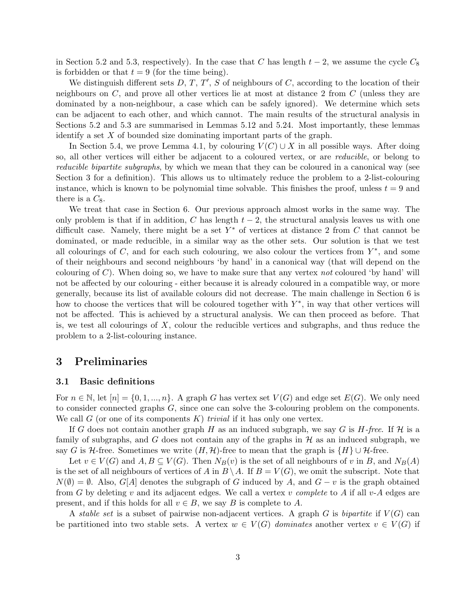in Section 5.2 and 5.3, respectively). In the case that C has length  $t - 2$ , we assume the cycle  $C_8$ is forbidden or that  $t = 9$  (for the time being).

We distinguish different sets  $D, T, T', S$  of neighbours of  $C$ , according to the location of their neighbours on C, and prove all other vertices lie at most at distance 2 from C (unless they are dominated by a non-neighbour, a case which can be safely ignored). We determine which sets can be adjacent to each other, and which cannot. The main results of the structural analysis in Sections 5.2 and 5.3 are summarised in Lemmas 5.12 and 5.24. Most importantly, these lemmas identify a set  $X$  of bounded size dominating important parts of the graph.

In Section 5.4, we prove Lemma 4.1, by colouring  $V(C) \cup X$  in all possible ways. After doing so, all other vertices will either be adjacent to a coloured vertex, or are reducible, or belong to reducible bipartite subgraphs, by which we mean that they can be coloured in a canonical way (see Section 3 for a definition). This allows us to ultimately reduce the problem to a 2-list-colouring instance, which is known to be polynomial time solvable. This finishes the proof, unless  $t = 9$  and there is a  $C_8$ .

We treat that case in Section 6. Our previous approach almost works in the same way. The only problem is that if in addition, C has length  $t-2$ , the structural analysis leaves us with one difficult case. Namely, there might be a set  $Y^*$  of vertices at distance 2 from C that cannot be dominated, or made reducible, in a similar way as the other sets. Our solution is that we test all colourings of  $C$ , and for each such colouring, we also colour the vertices from  $Y^*$ , and some of their neighbours and second neighbours 'by hand' in a canonical way (that will depend on the colouring of  $C$ ). When doing so, we have to make sure that any vertex not coloured 'by hand' will not be affected by our colouring - either because it is already coloured in a compatible way, or more generally, because its list of available colours did not decrease. The main challenge in Section 6 is how to choose the vertices that will be coloured together with  $Y^*$ , in way that other vertices will not be affected. This is achieved by a structural analysis. We can then proceed as before. That is, we test all colourings of  $X$ , colour the reducible vertices and subgraphs, and thus reduce the problem to a 2-list-colouring instance.

### 3 Preliminaries

#### 3.1 Basic definitions

For  $n \in \mathbb{N}$ , let  $[n] = \{0, 1, ..., n\}$ . A graph G has vertex set  $V(G)$  and edge set  $E(G)$ . We only need to consider connected graphs G, since one can solve the 3-colouring problem on the components. We call  $G$  (or one of its components  $K$ ) *trivial* if it has only one vertex.

If G does not contain another graph H as an induced subgraph, we say G is H-free. If H is a family of subgraphs, and G does not contain any of the graphs in  $H$  as an induced subgraph, we say G is H-free. Sometimes we write  $(H, \mathcal{H})$ -free to mean that the graph is  $\{H\} \cup \mathcal{H}$ -free.

Let  $v \in V(G)$  and  $A, B \subseteq V(G)$ . Then  $N_B(v)$  is the set of all neighbours of v in B, and  $N_B(A)$ is the set of all neighbours of vertices of A in  $B \setminus A$ . If  $B = V(G)$ , we omit the subscript. Note that  $N(\emptyset) = \emptyset$ . Also, G[A] denotes the subgraph of G induced by A, and  $G - v$  is the graph obtained from G by deleting v and its adjacent edges. We call a vertex v complete to A if all v-A edges are present, and if this holds for all  $v \in B$ , we say B is complete to A.

A stable set is a subset of pairwise non-adjacent vertices. A graph G is bipartite if  $V(G)$  can be partitioned into two stable sets. A vertex  $w \in V(G)$  dominates another vertex  $v \in V(G)$  if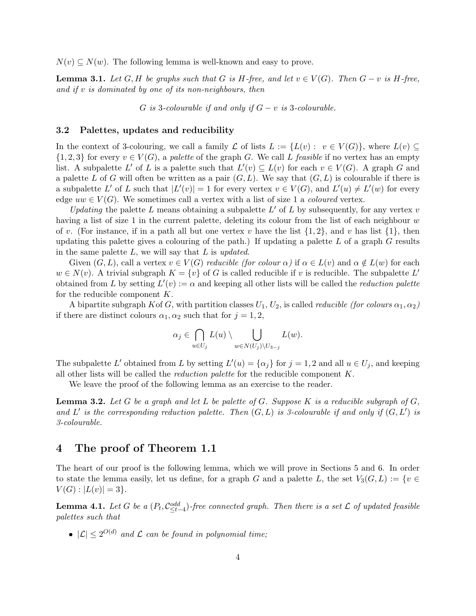$N(v) \subseteq N(w)$ . The following lemma is well-known and easy to prove.

**Lemma 3.1.** Let G, H be graphs such that G is H-free, and let  $v \in V(G)$ . Then  $G - v$  is H-free, and if v is dominated by one of its non-neighbours, then

G is 3-colourable if and only if  $G - v$  is 3-colourable.

### 3.2 Palettes, updates and reducibility

In the context of 3-colouring, we call a family L of lists  $L := \{L(v) : v \in V(G)\}\)$ , where  $L(v) \subseteq$  $\{1,2,3\}$  for every  $v \in V(G)$ , a palette of the graph G. We call L feasible if no vertex has an empty list. A subpalette L' of L is a palette such that  $L'(v) \subseteq L(v)$  for each  $v \in V(G)$ . A graph G and a palette L of G will often be written as a pair  $(G, L)$ . We say that  $(G, L)$  is colourable if there is a subpalette L' of L such that  $|L'(v)| = 1$  for every vertex  $v \in V(G)$ , and  $L'(u) \neq L'(w)$  for every edge  $uw \in V(G)$ . We sometimes call a vertex with a list of size 1 a *coloured* vertex.

Updating the palette L means obtaining a subpalette  $L'$  of L by subsequently, for any vertex v having a list of size 1 in the current palette, deleting its colour from the list of each neighbour  $w$ of v. (For instance, if in a path all but one vertex v have the list  $\{1, 2\}$ , and v has list  $\{1\}$ , then updating this palette gives a colouring of the path.) If updating a palette  $L$  of a graph  $G$  results in the same palette  $L$ , we will say that  $L$  is updated.

Given  $(G, L)$ , call a vertex  $v \in V(G)$  reducible (for colour  $\alpha$ ) if  $\alpha \in L(v)$  and  $\alpha \notin L(w)$  for each  $w \in N(v)$ . A trivial subgraph  $K = \{v\}$  of G is called reducible if v is reducible. The subpalette L' obtained from L by setting  $L'(v) := \alpha$  and keeping all other lists will be called the *reduction palette* for the reducible component  $K$ .

A bipartite subgraph K of G, with partition classes  $U_1, U_2$ , is called *reducible (for colours*  $\alpha_1, \alpha_2$ ) if there are distinct colours  $\alpha_1, \alpha_2$  such that for  $j = 1, 2$ ,

$$
\alpha_j \in \bigcap_{u \in U_j} L(u) \setminus \bigcup_{w \in N(U_j) \setminus U_{3-j}} L(w).
$$

The subpalette L' obtained from L by setting  $L'(u) = {\alpha_j}$  for  $j = 1, 2$  and all  $u \in U_j$ , and keeping all other lists will be called the reduction palette for the reducible component K.

We leave the proof of the following lemma as an exercise to the reader.

**Lemma 3.2.** Let G be a graph and let L be palette of G. Suppose K is a reducible subgraph of  $G$ , and L' is the corresponding reduction palette. Then  $(G, L)$  is 3-colourable if and only if  $(G, L')$  is 3-colourable.

## 4 The proof of Theorem 1.1

The heart of our proof is the following lemma, which we will prove in Sections 5 and 6. In order to state the lemma easily, let us define, for a graph G and a palette L, the set  $V_3(G, L) := \{v \in$  $V(G) : |L(v)| = 3$ .

**Lemma 4.1.** Let G be a  $(P_t, C_{\leq t-4}^{odd})$ -free connected graph. Then there is a set L of updated feasible palettes such that

•  $|\mathcal{L}| \leq 2^{O(d)}$  and  $\mathcal L$  can be found in polynomial time;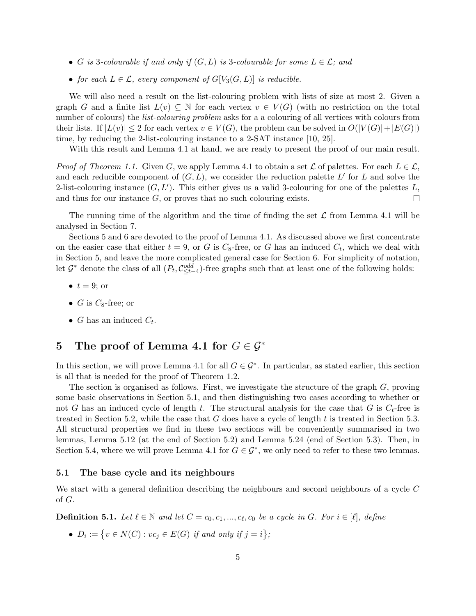- G is 3-colourable if and only if  $(G, L)$  is 3-colourable for some  $L \in \mathcal{L}$ ; and
- for each  $L \in \mathcal{L}$ , every component of  $G[V_3(G,L)]$  is reducible.

We will also need a result on the list-colouring problem with lists of size at most 2. Given a graph G and a finite list  $L(v) \subseteq \mathbb{N}$  for each vertex  $v \in V(G)$  (with no restriction on the total number of colours) the *list-colouring problem* asks for a a colouring of all vertices with colours from their lists. If  $|L(v)| \leq 2$  for each vertex  $v \in V(G)$ , the problem can be solved in  $O(|V(G)| + |E(G)|)$ time, by reducing the 2-list-colouring instance to a 2-SAT instance [10, 25].

With this result and Lemma 4.1 at hand, we are ready to present the proof of our main result.

*Proof of Theorem 1.1.* Given G, we apply Lemma 4.1 to obtain a set  $\mathcal L$  of palettes. For each  $L \in \mathcal L$ , and each reducible component of  $(G, L)$ , we consider the reduction palette L' for L and solve the 2-list-colouring instance  $(G, L')$ . This either gives us a valid 3-colouring for one of the palettes L, and thus for our instance  $G$ , or proves that no such colouring exists.  $\Box$ 

The running time of the algorithm and the time of finding the set  $\mathcal L$  from Lemma 4.1 will be analysed in Section 7.

Sections 5 and 6 are devoted to the proof of Lemma 4.1. As discussed above we first concentrate on the easier case that either  $t = 9$ , or G is  $C_8$ -free, or G has an induced  $C_t$ , which we deal with in Section 5, and leave the more complicated general case for Section 6. For simplicity of notation, let  $\mathcal{G}^*$  denote the class of all  $(P_t, C_{\leq t-4}^{odd})$ -free graphs such that at least one of the following holds:

- $t = 9$ ; or
- G is  $C_8$ -free; or
- *G* has an induced  $C_t$ .

## 5 The proof of Lemma 4.1 for  $G \in \mathcal{G}^*$

In this section, we will prove Lemma 4.1 for all  $G \in \mathcal{G}^*$ . In particular, as stated earlier, this section is all that is needed for the proof of Theorem 1.2.

The section is organised as follows. First, we investigate the structure of the graph G, proving some basic observations in Section 5.1, and then distinguishing two cases according to whether or not G has an induced cycle of length t. The structural analysis for the case that G is  $C_t$ -free is treated in Section 5.2, while the case that  $G$  does have a cycle of length  $t$  is treated in Section 5.3. All structural properties we find in these two sections will be conveniently summarised in two lemmas, Lemma 5.12 (at the end of Section 5.2) and Lemma 5.24 (end of Section 5.3). Then, in Section 5.4, where we will prove Lemma 4.1 for  $G \in \mathcal{G}^*$ , we only need to refer to these two lemmas.

#### 5.1 The base cycle and its neighbours

We start with a general definition describing the neighbours and second neighbours of a cycle C of G.

**Definition 5.1.** Let  $\ell \in \mathbb{N}$  and let  $C = c_0, c_1, ..., c_{\ell}, c_0$  be a cycle in G. For  $i \in [\ell]$ , define

•  $D_i := \{ v \in N(C) : v c_j \in E(G) \text{ if and only if } j = i \};$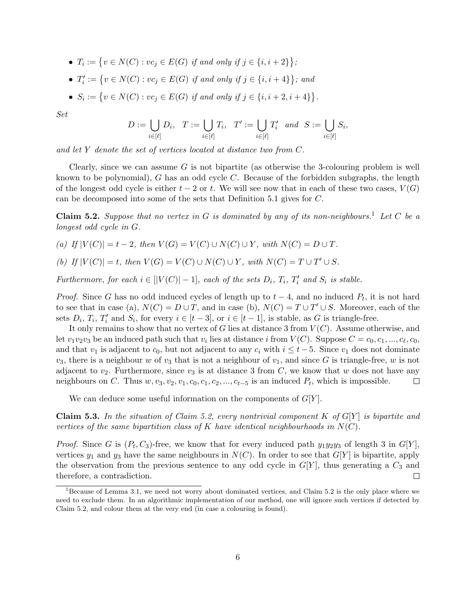- $T_i := \{ v \in N(C) : vc_j \in E(G) \text{ if and only if } j \in \{i, i + 2\} \};$ •  $T'_i := \{v \in N(C) : vc_j \in E(G) \text{ if and only if } j \in \{i, i+4\}\};$  and
- $S_i := \{ v \in N(C) : vc_j \in E(G) \text{ if and only if } j \in \{i, i+2, i+4\} \}.$

Set

$$
D:=\bigcup_{i\in [\ell]} D_i, \quad T:=\bigcup_{i\in [\ell]} T_i, \quad T':=\bigcup_{i\in [\ell]} T'_i \quad and \quad S:=\bigcup_{i\in [\ell]} S_i,
$$

and let Y denote the set of vertices located at distance two from C.

Clearly, since we can assume  $G$  is not bipartite (as otherwise the 3-colouring problem is well known to be polynomial), G has an odd cycle C. Because of the forbidden subgraphs, the length of the longest odd cycle is either  $t - 2$  or t. We will see now that in each of these two cases,  $V(G)$ can be decomposed into some of the sets that Definition 5.1 gives for C.

Claim 5.2. Suppose that no vertex in G is dominated by any of its non-neighbours.<sup>1</sup> Let C be a longest odd cycle in G.

(a) If  $|V(C)| = t - 2$ , then  $V(G) = V(C) \cup N(C) \cup Y$ , with  $N(C) = D \cup T$ .

(b) If  $|V(C)| = t$ , then  $V(G) = V(C) \cup N(C) \cup Y$ , with  $N(C) = T \cup T' \cup S$ .

Furthermore, for each  $i \in [|V(C)| - 1]$ , each of the sets  $D_i$ ,  $T_i$ ,  $T'_i$  and  $S_i$  is stable.

*Proof.* Since G has no odd induced cycles of length up to  $t - 4$ , and no induced  $P_t$ , it is not hard to see that in case (a),  $N(C) = D \cup T$ , and in case (b),  $N(C) = T \cup T' \cup S$ . Moreover, each of the sets  $D_i$ ,  $T_i$ ,  $T'_i$  and  $S_i$ , for every  $i \in [t-3]$ , or  $i \in [t-1]$ , is stable, as G is triangle-free.

It only remains to show that no vertex of G lies at distance 3 from  $V(C)$ . Assume otherwise, and Let  $v_1v_2v_3$  be an induced path such that  $v_i$  lies at distance i from  $V(C)$ . Suppose  $C = c_0, c_1, ..., c_\ell, c_0$ , and that  $v_1$  is adjacent to  $c_0$ , but not adjacent to any  $c_i$  with  $i \leq t-5$ . Since  $v_1$  does not dominate  $v_3$ , there is a neighbour w of  $v_3$  that is not a neighbour of  $v_1$ , and since G is triangle-free, w is not adjacent to  $v_2$ . Furthermore, since  $v_3$  is at distance 3 from C, we know that w does not have any neighbours on C. Thus  $w, v_3, v_2, v_1, c_0, c_1, c_2, ..., c_{t-5}$  is an induced  $P_t$ , which is impossible.  $\Box$ 

We can deduce some useful information on the components of  $G[Y]$ .

Claim 5.3. In the situation of Claim 5.2, every nontrivial component K of  $G[Y]$  is bipartite and vertices of the same bipartition class of K have identical neighbourhoods in  $N(C)$ .

*Proof.* Since G is  $(P_t, C_3)$ -free, we know that for every induced path  $y_1y_2y_3$  of length 3 in  $G[Y]$ , vertices  $y_1$  and  $y_3$  have the same neighbours in  $N(C)$ . In order to see that  $G[Y]$  is bipartite, apply the observation from the previous sentence to any odd cycle in  $G[Y]$ , thus generating a  $C_3$  and therefore, a contradiction.  $\Box$ 

 $1$ Because of Lemma 3.1, we need not worry about dominated vertices, and Claim 5.2 is the only place where we need to exclude them. In an algorithmic implementation of our method, one will ignore such vertices if detected by Claim 5.2, and colour them at the very end (in case a colouring is found).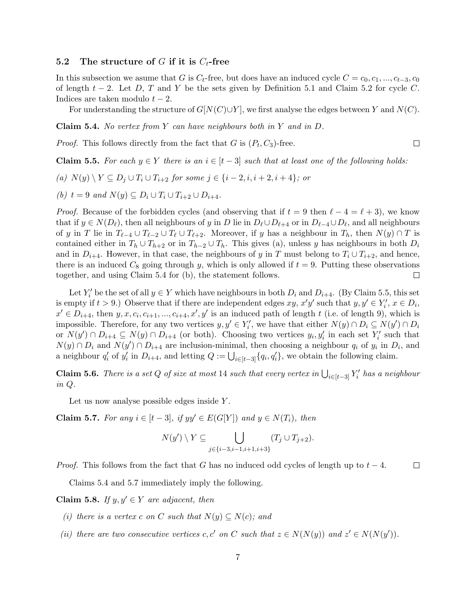#### 5.2 The structure of G if it is  $C_t$ -free

In this subsection we asume that G is  $C_t$ -free, but does have an induced cycle  $C = c_0, c_1, ..., c_{t-3}, c_0$ of length  $t - 2$ . Let D, T and Y be the sets given by Definition 5.1 and Claim 5.2 for cycle C. Indices are taken modulo  $t - 2$ .

For understanding the structure of  $G[N(C)\cup Y]$ , we first analyse the edges between Y and  $N(C)$ .

**Claim 5.4.** No vertex from Y can have neighbours both in Y and in D.

*Proof.* This follows directly from the fact that  $G$  is  $(P_t, C_3)$ -free.

**Claim 5.5.** For each  $y \in Y$  there is an  $i \in [t-3]$  such that at least one of the following holds:

- (a)  $N(y) \setminus Y \subseteq D_i \cup T_i \cup T_{i+2}$  for some  $j \in \{i-2, i, i+2, i+4\}$ ; or
- (b)  $t = 9$  and  $N(y) \subset D_i \cup T_i \cup T_{i+2} \cup D_{i+4}$ .

*Proof.* Because of the forbidden cycles (and observing that if  $t = 9$  then  $\ell - 4 = \ell + 3$ ), we know that if  $y \in N(D_\ell)$ , then all neighbours of y in D lie in  $D_\ell \cup D_{\ell+4}$  or in  $D_{\ell-4} \cup D_\ell$ , and all neighbours of y in T lie in  $T_{\ell-4} \cup T_{\ell-2} \cup T_{\ell} \cup T_{\ell+2}$ . Moreover, if y has a neighbour in  $T_h$ , then  $N(y) \cap T$  is contained either in  $T_h \cup T_{h+2}$  or in  $T_{h-2} \cup T_h$ . This gives (a), unless y has neighbours in both  $D_i$ and in  $D_{i+4}$ . However, in that case, the neighbours of y in T must belong to  $T_i \cup T_{i+2}$ , and hence, there is an induced  $C_8$  going through y, which is only allowed if  $t = 9$ . Putting these observations together, and using Claim 5.4 for (b), the statement follows.  $\Box$ 

Let  $Y_i'$  be the set of all  $y \in Y$  which have neighbours in both  $D_i$  and  $D_{i+4}$ . (By Claim 5.5, this set is empty if  $t > 9$ .) Observe that if there are independent edges  $xy$ ,  $x'y'$  such that  $y, y' \in Y'_i$ ,  $x \in D_i$ ,  $x' \in D_{i+4}$ , then  $y, x, c_i, c_{i+1}, \ldots, c_{i+4}, x', y'$  is an induced path of length t (i.e. of length 9), which is impossible. Therefore, for any two vertices  $y, y' \in Y'_i$ , we have that either  $N(y) \cap D_i \subseteq N(y') \cap D_i$ or  $N(y') \cap D_{i+4} \subseteq N(y) \cap D_{i+4}$  (or both). Choosing two vertices  $y_i, y'_i$  in each set  $Y'_i$  such that  $N(y) \cap D_i$  and  $N(y') \cap D_{i+4}$  are inclusion-minimal, then choosing a neighbour  $q_i$  of  $y_i$  in  $D_i$ , and a neighbour  $q'_i$  of  $y'_i$  in  $D_{i+4}$ , and letting  $Q := \bigcup_{i \in [t-3]} \{q_i, q'_i\}$ , we obtain the following claim.

**Claim 5.6.** There is a set Q of size at most 14 such that every vertex in  $\bigcup_{i\in[t-3]} Y_i'$  has a neighbour in Q.

Let us now analyse possible edges inside Y.

**Claim 5.7.** For any  $i \in [t-3]$ , if  $yy' \in E(G[Y])$  and  $y \in N(T_i)$ , then

$$
N(y')\setminus Y\subseteq \bigcup_{j\in\{i-3,i-1,i+1,i+3\}}(T_j\cup T_{j+2}).
$$

*Proof.* This follows from the fact that G has no induced odd cycles of length up to  $t - 4$ .  $\Box$ 

Claims 5.4 and 5.7 immediately imply the following.

Claim 5.8. If  $y, y' \in Y$  are adjacent, then

- (i) there is a vertex c on C such that  $N(y) \subseteq N(c)$ ; and
- (ii) there are two consecutive vertices c, c' on C such that  $z \in N(N(y))$  and  $z' \in N(N(y'))$ .

 $\Box$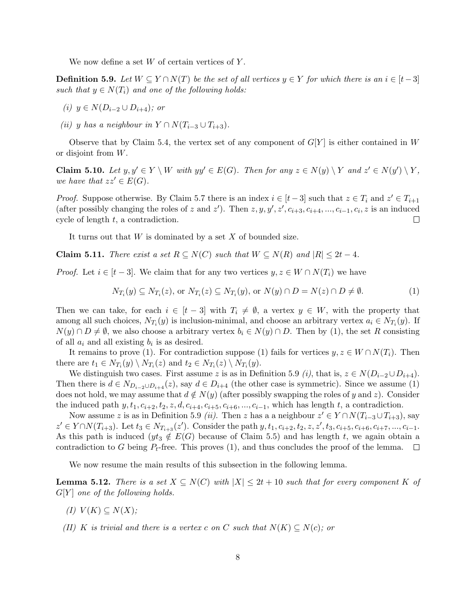We now define a set  $W$  of certain vertices of  $Y$ .

**Definition 5.9.** Let  $W \subseteq Y \cap N(T)$  be the set of all vertices  $y \in Y$  for which there is an  $i \in [t-3]$ such that  $y \in N(T_i)$  and one of the following holds:

- (i)  $y \in N(D_{i-2} \cup D_{i+4});$  or
- (ii) y has a neighbour in  $Y \cap N(T_{i-3} \cup T_{i+3}).$

Observe that by Claim 5.4, the vertex set of any component of  $G[Y]$  is either contained in W or disjoint from W.

**Claim 5.10.** Let  $y, y' \in Y \setminus W$  with  $yy' \in E(G)$ . Then for any  $z \in N(y) \setminus Y$  and  $z' \in N(y') \setminus Y$ , we have that  $zz' \in E(G)$ .

*Proof.* Suppose otherwise. By Claim 5.7 there is an index  $i \in [t-3]$  such that  $z \in T_i$  and  $z' \in T_{i+1}$ (after possibly changing the roles of z and z'). Then  $z, y, y', z', c_{i+3}, c_{i+4}, ..., c_{i-1}, c_i, z$  is an induced cycle of length t, a contradiction.  $\Box$ 

It turns out that  $W$  is dominated by a set  $X$  of bounded size.

Claim 5.11. There exist a set  $R \subseteq N(C)$  such that  $W \subseteq N(R)$  and  $|R| \leq 2t-4$ .

*Proof.* Let  $i \in [t-3]$ . We claim that for any two vertices  $y, z \in W \cap N(T_i)$  we have

$$
N_{T_i}(y) \subseteq N_{T_i}(z), \text{ or } N_{T_i}(z) \subseteq N_{T_i}(y), \text{ or } N(y) \cap D = N(z) \cap D \neq \emptyset.
$$
 (1)

Then we can take, for each  $i \in [t-3]$  with  $T_i \neq \emptyset$ , a vertex  $y \in W$ , with the property that among all such choices,  $N_{T_i}(y)$  is inclusion-minimal, and choose an arbitrary vertex  $a_i \in N_{T_i}(y)$ . If  $N(y) \cap D \neq \emptyset$ , we also choose a arbitrary vertex  $b_i \in N(y) \cap D$ . Then by (1), the set R consisting of all  $a_i$  and all existing  $b_i$  is as desired.

It remains to prove (1). For contradiction suppose (1) fails for vertices  $y, z \in W \cap N(T_i)$ . Then there are  $t_1 \in N_{T_i}(y) \setminus N_{T_i}(z)$  and  $t_2 \in N_{T_i}(z) \setminus N_{T_i}(y)$ .

We distinguish two cases. First assume z is as in Definition 5.9 (i), that is,  $z \in N(D_{i-2} \cup D_{i+4})$ . Then there is  $d \in N_{D_{i-2} \cup D_{i+4}}(z)$ , say  $d \in D_{i+4}$  (the other case is symmetric). Since we assume (1) does not hold, we may assume that  $d \notin N(y)$  (after possibly swapping the roles of y and z). Consider the induced path  $y, t_1, c_{i+2}, t_2, z, d, c_{i+4}, c_{i+5}, c_{i+6}, ..., c_{i-1}$ , which has length t, a contradiction.

Now assume z is as in Definition 5.9 *(ii)*. Then z has a a neighbour  $z' \in Y \cap N(T_{i-3} \cup T_{i+3})$ , say  $z' \in Y \cap N(T_{i+3})$ . Let  $t_3 \in N_{T_{i+3}}(z')$ . Consider the path  $y, t_1, c_{i+2}, t_2, z, z', t_3, c_{i+5}, c_{i+6}, c_{i+7}, ..., c_{i-1}$ . As this path is induced ( $yt_3 \notin E(G)$  because of Claim 5.5) and has length t, we again obtain a contradiction to G being  $P_t$ -free. This proves (1), and thus concludes the proof of the lemma.  $\Box$ 

We now resume the main results of this subsection in the following lemma.

**Lemma 5.12.** There is a set  $X \subseteq N(C)$  with  $|X| \leq 2t + 10$  such that for every component K of  $G[Y]$  one of the following holds.

- (I)  $V(K) \subset N(X)$ ;
- (II) K is trivial and there is a vertex c on C such that  $N(K) \subseteq N(c)$ ; or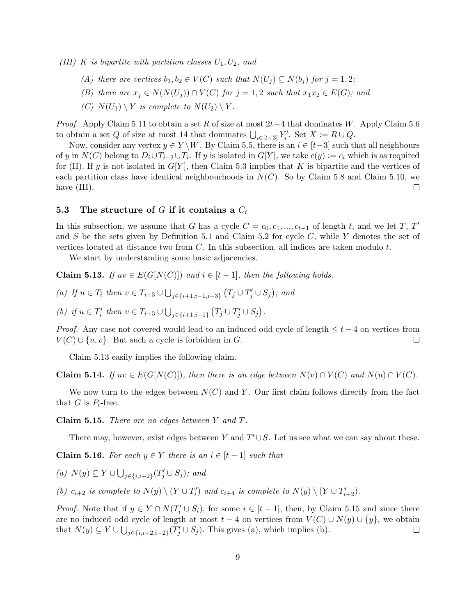(III) K is bipartite with partition classes  $U_1, U_2,$  and

- (A) there are vertices  $b_1, b_2 \in V(C)$  such that  $N(U_i) \subseteq N(b_i)$  for  $j = 1, 2;$
- (B) there are  $x_j \in N(N(U_j)) \cap V(C)$  for  $j = 1, 2$  such that  $x_1x_2 \in E(G)$ ; and
- (C)  $N(U_1) \setminus Y$  is complete to  $N(U_2) \setminus Y$ .

*Proof.* Apply Claim 5.11 to obtain a set R of size at most  $2t-4$  that dominates W. Apply Claim 5.6 to obtain a set Q of size at most 14 that dominates  $\bigcup_{i\in[t-3]} Y_i'$ . Set  $X := R \cup Q$ .

Now, consider any vertex  $y \in Y \backslash W$ . By Claim 5.5, there is an  $i \in [t-3]$  such that all neighbours of y in  $N(C)$  belong to  $D_i \cup T_{i-2} \cup T_i$ . If y is isolated in  $G[Y]$ , we take  $c(y) := c_i$  which is as required for (II). If y is not isolated in  $G[Y]$ , then Claim 5.3 implies that K is bipartite and the vertices of each partition class have identical neighbourhoods in  $N(C)$ . So by Claim 5.8 and Claim 5.10, we have  $(III)$ .  $\Box$ 

#### 5.3 The structure of G if it contains a  $C_t$

In this subsection, we assume that G has a cycle  $C = c_0, c_1, ..., c_{t-1}$  of length t, and we let T, T' and  $S$  be the sets given by Definition 5.1 and Claim 5.2 for cycle  $C$ , while Y denotes the set of vertices located at distance two from  $C$ . In this subsection, all indices are taken modulo  $t$ .

We start by understanding some basic adjacencies.

**Claim 5.13.** If  $uv \in E(G[N(C)])$  and  $i \in [t-1]$ , then the following holds.

(a) If 
$$
u \in T_i
$$
 then  $v \in T_{i+3} \cup \bigcup_{j \in \{i+1, i-1, i-3\}} (T_j \cup T'_j \cup S_j)$ ; and

(b) if  $u \in T'_i$  then  $v \in T_{i+3} \cup \bigcup_{j \in \{i+1, i-1\}} (T_j \cup T'_j \cup S_j)$ .

*Proof.* Any case not covered would lead to an induced odd cycle of length  $\leq t-4$  on vertices from  $V(C) \cup \{u, v\}$ . But such a cycle is forbidden in G.  $\Box$ 

Claim 5.13 easily implies the following claim.

**Claim 5.14.** If  $uv \in E(G[N(C)])$ , then there is an edge between  $N(v) \cap V(C)$  and  $N(u) \cap V(C)$ .

We now turn to the edges between  $N(C)$  and Y. Our first claim follows directly from the fact that  $G$  is  $P_t$ -free.

Claim 5.15. There are no edges between Y and T.

There may, however, exist edges between Y and  $T' \cup S$ . Let us see what we can say about these.

Claim 5.16. For each  $y \in Y$  there is an  $i \in [t-1]$  such that

(a) 
$$
N(y) \subseteq Y \cup \bigcup_{j \in \{i, i+2\}} (T'_j \cup S_j)
$$
; and

(b)  $c_{i+2}$  is complete to  $N(y) \setminus (Y \cup T'_i)$  and  $c_{i+4}$  is complete to  $N(y) \setminus (Y \cup T'_{i+2})$ .

*Proof.* Note that if  $y \in Y \cap N(T_i' \cup S_i)$ , for some  $i \in [t-1]$ , then, by Claim 5.15 and since there are no induced odd cycle of length at most  $t - 4$  on vertices from  $V(C) \cup N(y) \cup \{y\}$ , we obtain that  $N(y) \subseteq Y \cup \bigcup_{j \in \{i, i+2, i-2\}} (T'_j \cup S_j)$ . This gives (a), which implies (b).  $\Box$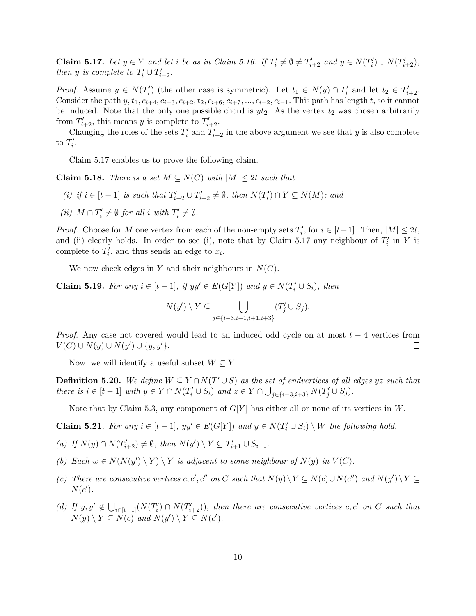**Claim 5.17.** Let  $y \in Y$  and let i be as in Claim 5.16. If  $T'_i \neq \emptyset \neq T'_{i+2}$  and  $y \in N(T'_i) \cup N(T'_{i+2}),$ then y is complete to  $T'_i \cup T'_{i+2}$ .

*Proof.* Assume  $y \in N(T_i')$  (the other case is symmetric). Let  $t_1 \in N(y) \cap T_i'$  and let  $t_2 \in T_{i+2}'$ . Consider the path  $y, t_1, c_{i+4}, c_{i+3}, c_{i+2}, t_2, c_{i+6}, c_{i+7}, ..., c_{i-2}, c_{i-1}$ . This path has length t, so it cannot be induced. Note that the only one possible chord is  $yt_2$ . As the vertex  $t_2$  was chosen arbitrarily from  $T'_{i+2}$ , this means y is complete to  $T'_{i+2}$ .

Changing the roles of the sets  $T_i'$  and  $T_{i+2}'$  in the above argument we see that y is also complete to  $T_i'$ .  $\Box$ 

Claim 5.17 enables us to prove the following claim.

**Claim 5.18.** There is a set  $M \subseteq N(C)$  with  $|M| \leq 2t$  such that

- (i) if  $i \in [t-1]$  is such that  $T'_{i-2} \cup T'_{i+2} \neq \emptyset$ , then  $N(T'_{i}) \cap Y \subseteq N(M)$ ; and
- (*ii*)  $M \cap T'_i \neq \emptyset$  for all *i* with  $T'_i \neq \emptyset$ .

*Proof.* Choose for M one vertex from each of the non-empty sets  $T_i'$ , for  $i \in [t-1]$ . Then,  $|M| \leq 2t$ , and (ii) clearly holds. In order to see (i), note that by Claim 5.17 any neighbour of  $T_i'$  in Y is complete to  $T_i'$ , and thus sends an edge to  $x_i$ .  $\Box$ 

We now check edges in Y and their neighbours in  $N(C)$ .

**Claim 5.19.** For any  $i \in [t-1]$ , if  $yy' \in E(G[Y])$  and  $y \in N(T'_i \cup S_i)$ , then

$$
N(y') \setminus Y \subseteq \bigcup_{j \in \{i-3, i-1, i+1, i+3\}} (T'_j \cup S_j).
$$

*Proof.* Any case not covered would lead to an induced odd cycle on at most  $t - 4$  vertices from  $V(C) \cup N(y) \cup N(y') \cup \{y, y'\}.$  $\Box$ 

Now, we will identify a useful subset  $W \subseteq Y$ .

**Definition 5.20.** We define  $W \subseteq Y \cap N(T' \cup S)$  as the set of endvertices of all edges yz such that there is  $i \in [t-1]$  with  $y \in Y \cap N(T'_i \cup S_i)$  and  $z \in Y \cap \bigcup_{j \in \{i-3, i+3\}} N(T'_j \cup S_j)$ .

Note that by Claim 5.3, any component of  $G[Y]$  has either all or none of its vertices in W.

**Claim 5.21.** For any  $i \in [t-1]$ ,  $yy' \in E(G[Y])$  and  $y \in N(T'_i \cup S_i) \setminus W$  the following hold.

- (a) If  $N(y) \cap N(T'_{i+2}) \neq \emptyset$ , then  $N(y') \setminus Y \subseteq T'_{i+1} \cup S_{i+1}$ .
- (b) Each  $w \in N(N(y') \setminus Y) \setminus Y$  is adjacent to some neighbour of  $N(y)$  in  $V(C)$ .
- (c) There are consecutive vertices c, c', c'' on C such that  $N(y)\ Y \subseteq N(c)\cup N(c'')$  and  $N(y')\ Y \subseteq$  $N(c')$ .
- (d) If  $y, y' \notin \bigcup_{i \in [t-1]} (N(T'_i) \cap N(T'_{i+2}))$ , then there are consecutive vertices c, c' on C such that  $N(y) \setminus Y \subseteq N(c)$  and  $N(y') \setminus Y \subseteq N(c')$ .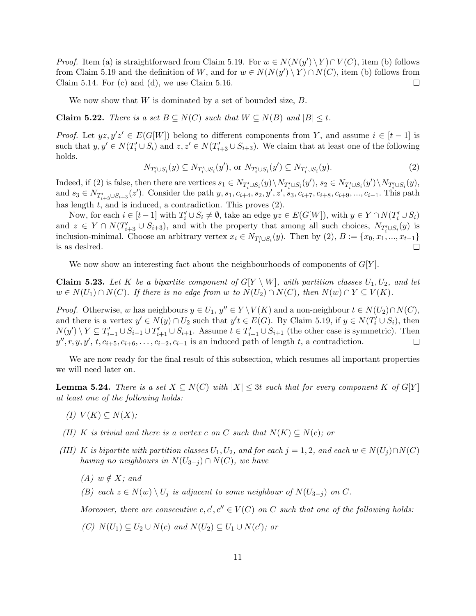*Proof.* Item (a) is straightforward from Claim 5.19. For  $w \in N(N(y') \setminus Y) \cap V(C)$ , item (b) follows from Claim 5.19 and the definition of W, and for  $w \in N(N(y') \setminus Y) \cap N(C)$ , item (b) follows from Claim 5.14. For (c) and (d), we use Claim 5.16.  $\Box$ 

We now show that  $W$  is dominated by a set of bounded size,  $B$ .

**Claim 5.22.** There is a set  $B \subseteq N(C)$  such that  $W \subseteq N(B)$  and  $|B| \leq t$ .

*Proof.* Let  $yz, y'z' \in E(G[W])$  belong to different components from Y, and assume  $i \in [t-1]$  is such that  $y, y' \in N(T'_i \cup S_i)$  and  $z, z' \in N(T'_{i+3} \cup S_{i+3})$ . We claim that at least one of the following holds.

$$
N_{T'_i \cup S_i}(y) \subseteq N_{T'_i \cup S_i}(y'), \text{ or } N_{T'_i \cup S_i}(y') \subseteq N_{T'_i \cup S_i}(y).
$$
\n
$$
(2)
$$

 $\text{Indeed, if (2) is false, then there are vertices } s_1 \in N_{T'_i \cup S_i}(y) \setminus N_{T'_i \cup S_i}(y'), s_2 \in N_{T'_i \cup S_i}(y') \setminus N_{T'_i \cup S_i}(y),$ and  $s_3 \in N_{T'_{i+3} \cup S_{i+3}}(z')$ . Consider the path  $y, s_1, c_{i+4}, s_2, y', z', s_3, c_{i+7}, c_{i+8}, c_{i+9}, ..., c_{i-1}$ . This path has length  $t$ , and is induced, a contradiction. This proves  $(2)$ .

Now, for each  $i \in [t-1]$  with  $T_i' \cup S_i \neq \emptyset$ , take an edge  $yz \in E(G[W])$ , with  $y \in Y \cap N(T_i' \cup S_i)$ and  $z \in Y \cap N(T'_{i+3} \cup S_{i+3})$ , and with the property that among all such choices,  $N_{T_i' \cup S_i}(y)$  is inclusion-minimal. Choose an arbitrary vertex  $x_i \in N_{T_i' \cup S_i}(y)$ . Then by  $(2), B := \{x_0, x_1, ..., x_{t-1}\}\$ is as desired. П

We now show an interesting fact about the neighbourhoods of components of  $G[Y]$ .

**Claim 5.23.** Let K be a bipartite component of  $G[Y \setminus W]$ , with partition classes  $U_1, U_2$ , and let  $w \in N(U_1) \cap N(C)$ . If there is no edge from w to  $N(U_2) \cap N(C)$ , then  $N(w) \cap Y \subseteq V(K)$ .

*Proof.* Otherwise, w has neighbours  $y \in U_1$ ,  $y'' \in Y \setminus V(K)$  and a non-neighbour  $t \in N(U_2) \cap N(C)$ , and there is a vertex  $y' \in N(y) \cap U_2$  such that  $y't \in E(G)$ . By Claim 5.19, if  $y \in N(T'_i \cup S_i)$ , then  $N(y')\setminus Y\subseteq T'_{i-1}\cup S_{i-1}\cup T'_{i+1}\cup S_{i+1}$ . Assume  $t\in T'_{i+1}\cup S_{i+1}$  (the other case is symmetric). Then  $y'', r, y, y', t, c_{i+5}, c_{i+6}, \ldots, c_{i-2}, c_{i-1}$  is an induced path of length t, a contradiction.  $\Box$ 

We are now ready for the final result of this subsection, which resumes all important properties we will need later on.

**Lemma 5.24.** There is a set  $X \subseteq N(C)$  with  $|X| \leq 3t$  such that for every component K of G[Y] at least one of the following holds:

- (I)  $V(K) \subseteq N(X);$
- (II) K is trivial and there is a vertex c on C such that  $N(K) \subseteq N(c)$ ; or
- (III) K is bipartite with partition classes  $U_1, U_2$ , and for each  $j = 1, 2$ , and each  $w \in N(U_i) \cap N(C)$ having no neighbours in  $N(U_{3-j}) \cap N(C)$ , we have
	- $(A) w \notin X$ ; and
	- (B) each  $z \in N(w) \setminus U_j$  is adjacent to some neighbour of  $N(U_{3-i})$  on C.

Moreover, there are consecutive  $c, c', c'' \in V(C)$  on C such that one of the following holds:

(C)  $N(U_1) \subseteq U_2 \cup N(c)$  and  $N(U_2) \subseteq U_1 \cup N(c')$ ; or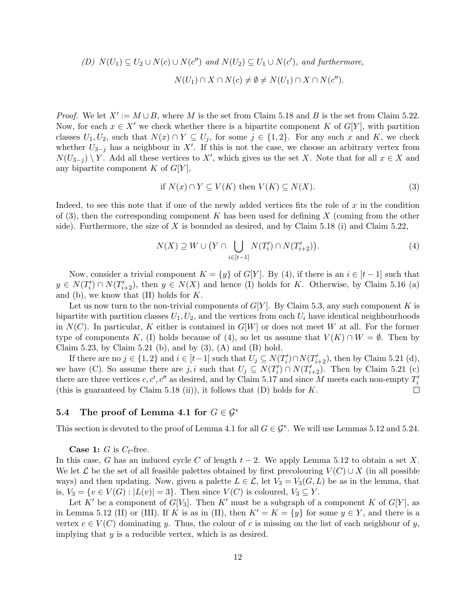(D) 
$$
N(U_1) \subseteq U_2 \cup N(c) \cup N(c'')
$$
 and  $N(U_2) \subseteq U_1 \cup N(c')$ , and furthermore,  
 $N(U_1) \cap X \cap N(c) \neq \emptyset \neq N(U_1) \cap X \cap N(c'')$ .

*Proof.* We let  $X' := M \cup B$ , where M is the set from Claim 5.18 and B is the set from Claim 5.22. Now, for each  $x \in X'$  we check whether there is a bipartite component K of  $G[Y]$ , with partition classes  $U_1, U_2$ , such that  $N(x) \cap Y \subseteq U_j$ , for some  $j \in \{1, 2\}$ . For any such x and K, we check whether  $U_{3-j}$  has a neighbour in X'. If this is not the case, we choose an arbitrary vertex from  $N(U_{3-j}) \setminus Y$ . Add all these vertices to X', which gives us the set X. Note that for all  $x \in X$  and any bipartite component  $K$  of  $G[Y]$ ,

if 
$$
N(x) \cap Y \subseteq V(K)
$$
 then  $V(K) \subseteq N(X)$ . (3)

Indeed, to see this note that if one of the newly added vertices fits the role of  $x$  in the condition of  $(3)$ , then the corresponding component K has been used for defining X (coming from the other side). Furthermore, the size of  $X$  is bounded as desired, and by Claim 5.18 (i) and Claim 5.22,

$$
N(X) \supseteq W \cup \big(Y \cap \bigcup_{i \in [t-1]} N(T'_i) \cap N(T'_{i+2})\big). \tag{4}
$$

Now, consider a trivial component  $K = \{y\}$  of  $G[Y]$ . By (4), if there is an  $i \in [t-1]$  such that  $y \in N(T'_{i}) \cap N(T'_{i+2}),$  then  $y \in N(X)$  and hence (I) holds for K. Otherwise, by Claim 5.16 (a) and (b), we know that  $(II)$  holds for  $K$ .

Let us now turn to the non-trivial components of  $G[Y]$ . By Claim 5.3, any such component K is bipartite with partition classes  $U_1, U_2$ , and the vertices from each  $U_i$  have identical neighbourhoods in  $N(C)$ . In particular, K either is contained in  $G[W]$  or does not meet W at all. For the former type of components K, (I) holds because of (4), so let us assume that  $V(K) \cap W = \emptyset$ . Then by Claim 5.23, by Claim 5.21 (b), and by  $(3)$ ,  $(A)$  and  $(B)$  hold.

If there are no  $j \in \{1,2\}$  and  $i \in [t-1]$  such that  $U_j \subseteq N(T'_i) \cap N(T'_{i+2})$ , then by Claim 5.21 (d), we have (C). So assume there are j, i such that  $U_j \subseteq N(T'_i) \cap N(T'_{i+2})$ . Then by Claim 5.21 (c) there are three vertices  $c, c', c''$  as desired, and by Claim 5.17 and since M meets each non-empty  $T_i'$ (this is guaranteed by Claim 5.18 (ii)), it follows that  $(D)$  holds for K.  $\Box$ 

#### 5.4 The proof of Lemma 4.1 for  $G \in \mathcal{G}^*$

This section is devoted to the proof of Lemma 4.1 for all  $G \in \mathcal{G}^*$ . We will use Lemmas 5.12 and 5.24.

**Case 1:** G is  $C_t$ -free.

In this case, G has an induced cycle C of length  $t-2$ . We apply Lemma 5.12 to obtain a set X. We let  $\mathcal L$  be the set of all feasible palettes obtained by first precolouring  $V(C) \cup X$  (in all possible ways) and then updating. Now, given a palette  $L \in \mathcal{L}$ , let  $V_3 = V_3(G, L)$  be as in the lemma, that is,  $V_3 = \{v \in V(G) : |L(v)| = 3\}$ . Then since  $V(C)$  is coloured,  $V_3 \subseteq Y$ .

Let K' be a component of  $G[V_3]$ . Then K' must be a subgraph of a component K of  $G[Y]$ , as in Lemma 5.12 (II) or (III). If K is as in (II), then  $K' = K = \{y\}$  for some  $y \in Y$ , and there is a vertex  $c \in V(C)$  dominating y. Thus, the colour of c is missing on the list of each neighbour of y, implying that  $y$  is a reducible vertex, which is as desired.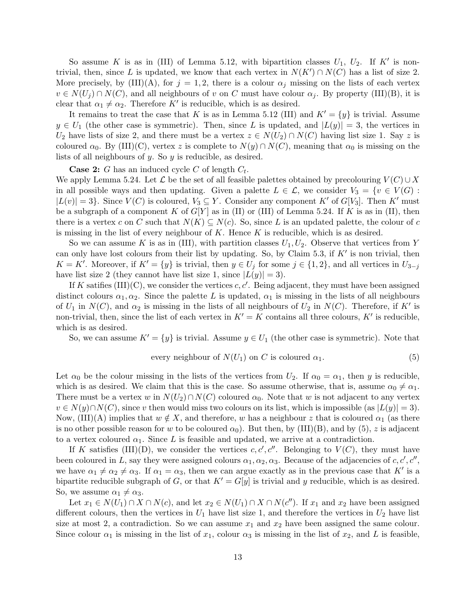So assume K is as in (III) of Lemma 5.12, with bipartition classes  $U_1$ ,  $U_2$ . If K' is nontrivial, then, since L is updated, we know that each vertex in  $N(K') \cap N(C)$  has a list of size 2. More precisely, by  $(III)(A)$ , for  $j = 1, 2$ , there is a colour  $\alpha_j$  missing on the lists of each vertex  $v \in N(U_i) \cap N(C)$ , and all neighbours of v on C must have colour  $\alpha_i$ . By property (III)(B), it is clear that  $\alpha_1 \neq \alpha_2$ . Therefore K' is reducible, which is as desired.

It remains to treat the case that K is as in Lemma 5.12 (III) and  $K' = \{y\}$  is trivial. Assume  $y \in U_1$  (the other case is symmetric). Then, since L is updated, and  $|L(y)| = 3$ , the vertices in  $U_2$  have lists of size 2, and there must be a vertex  $z \in N(U_2) \cap N(C)$  having list size 1. Say z is coloured  $\alpha_0$ . By (III)(C), vertex z is complete to  $N(y) \cap N(C)$ , meaning that  $\alpha_0$  is missing on the lists of all neighbours of y. So y is reducible, as desired.

**Case 2:** G has an induced cycle C of length  $C_t$ .

We apply Lemma 5.24. Let  $\mathcal L$  be the set of all feasible palettes obtained by precolouring  $V(C) \cup X$ in all possible ways and then updating. Given a palette  $L \in \mathcal{L}$ , we consider  $V_3 = \{v \in V(G) :$  $|L(v)| = 3$ . Since  $V(C)$  is coloured,  $V_3 \subseteq Y$ . Consider any component K' of G[V<sub>3</sub>]. Then K' must be a subgraph of a component K of  $G[Y]$  as in (II) or (III) of Lemma 5.24. If K is as in (II), then there is a vertex c on C such that  $N(K) \subseteq N(c)$ . So, since L is an updated palette, the colour of c is missing in the list of every neighbour of  $K$ . Hence  $K$  is reducible, which is as desired.

So we can assume K is as in (III), with partition classes  $U_1, U_2$ . Observe that vertices from Y can only have lost colours from their list by updating. So, by Claim 5.3, if  $K'$  is non trivial, then  $K = K'$ . Moreover, if  $K' = \{y\}$  is trivial, then  $y \in U_j$  for some  $j \in \{1, 2\}$ , and all vertices in  $U_{3-j}$ have list size 2 (they cannot have list size 1, since  $|L(y)| = 3$ ).

If K satifies  $(III)(C)$ , we consider the vertices c, c'. Being adjacent, they must have been assigned distinct colours  $\alpha_1, \alpha_2$ . Since the palette L is updated,  $\alpha_1$  is missing in the lists of all neighbours of  $U_1$  in  $N(C)$ , and  $\alpha_2$  is missing in the lists of all neighbours of  $U_2$  in  $N(C)$ . Therefore, if K' is non-trivial, then, since the list of each vertex in  $K' = K$  contains all three colours,  $K'$  is reducible, which is as desired.

So, we can assume  $K' = \{y\}$  is trivial. Assume  $y \in U_1$  (the other case is symmetric). Note that

every neighbour of 
$$
N(U_1)
$$
 on C is coloured  $\alpha_1$ . (5)

Let  $\alpha_0$  be the colour missing in the lists of the vertices from  $U_2$ . If  $\alpha_0 = \alpha_1$ , then y is reducible, which is as desired. We claim that this is the case. So assume otherwise, that is, assume  $\alpha_0 \neq \alpha_1$ . There must be a vertex w in  $N(U_2) \cap N(C)$  coloured  $\alpha_0$ . Note that w is not adjacent to any vertex  $v \in N(y) \cap N(C)$ , since v then would miss two colours on its list, which is impossible (as  $|L(y)| = 3$ ). Now, (III)(A) implies that  $w \notin X$ , and therefore, w has a neighbour z that is coloured  $\alpha_1$  (as there is no other possible reason for w to be coloured  $\alpha_0$ ). But then, by (III)(B), and by (5), z is adjacent to a vertex coloured  $\alpha_1$ . Since L is feasible and updated, we arrive at a contradiction.

If K satisfies (III)(D), we consider the vertices  $c, c', c''$ . Belonging to  $V(C)$ , they must have been coloured in L, say they were assigned colours  $\alpha_1, \alpha_2, \alpha_3$ . Because of the adjacencies of c, c', c'', we have  $\alpha_1 \neq \alpha_2 \neq \alpha_3$ . If  $\alpha_1 = \alpha_3$ , then we can argue exactly as in the previous case that K' is a bipartite reducible subgraph of G, or that  $K' = G[y]$  is trivial and y reducible, which is as desired. So, we assume  $\alpha_1 \neq \alpha_3$ .

Let  $x_1 \in N(U_1) \cap X \cap N(c)$ , and let  $x_2 \in N(U_1) \cap X \cap N(c'')$ . If  $x_1$  and  $x_2$  have been assigned different colours, then the vertices in  $U_1$  have list size 1, and therefore the vertices in  $U_2$  have list size at most 2, a contradiction. So we can assume  $x_1$  and  $x_2$  have been assigned the same colour. Since colour  $\alpha_1$  is missing in the list of  $x_1$ , colour  $\alpha_3$  is missing in the list of  $x_2$ , and L is feasible,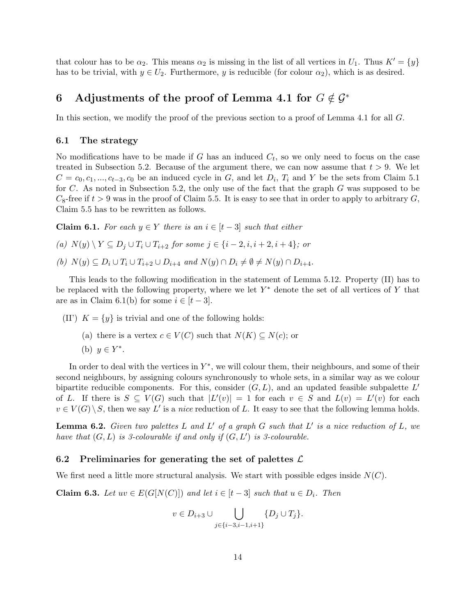that colour has to be  $\alpha_2$ . This means  $\alpha_2$  is missing in the list of all vertices in  $U_1$ . Thus  $K' = \{y\}$ has to be trivial, with  $y \in U_2$ . Furthermore, y is reducible (for colour  $\alpha_2$ ), which is as desired.

## 6 Adjustments of the proof of Lemma 4.1 for  $G \notin \mathcal{G}^*$

In this section, we modify the proof of the previous section to a proof of Lemma 4.1 for all G.

#### 6.1 The strategy

No modifications have to be made if  $G$  has an induced  $C_t$ , so we only need to focus on the case treated in Subsection 5.2. Because of the argument there, we can now assume that  $t > 9$ . We let  $C = c_0, c_1, ..., c_{t-3}, c_0$  be an induced cycle in G, and let  $D_i$ ,  $T_i$  and Y be the sets from Claim 5.1 for C. As noted in Subsection 5.2, the only use of the fact that the graph G was supposed to be  $C_8$ -free if  $t > 9$  was in the proof of Claim 5.5. It is easy to see that in order to apply to arbitrary  $G$ , Claim 5.5 has to be rewritten as follows.

**Claim 6.1.** For each  $y \in Y$  there is an  $i \in [t-3]$  such that either

(a)  $N(y) \setminus Y \subseteq D_i \cup T_i \cup T_{i+2}$  for some  $j \in \{i-2, i, i+2, i+4\}$ ; or

(b)  $N(y) \subset D_i \cup T_i \cup T_{i+2} \cup D_{i+4}$  and  $N(y) \cap D_i \neq \emptyset \neq N(y) \cap D_{i+4}$ .

This leads to the following modification in the statement of Lemma 5.12. Property (II) has to be replaced with the following property, where we let  $Y^*$  denote the set of all vertices of Y that are as in Claim 6.1(b) for some  $i \in [t-3]$ .

(II')  $K = \{y\}$  is trivial and one of the following holds:

- (a) there is a vertex  $c \in V(C)$  such that  $N(K) \subseteq N(c)$ ; or
- (b)  $y \in Y^*$ .

In order to deal with the vertices in  $Y^*$ , we will colour them, their neighbours, and some of their second neighbours, by assigning colours synchronously to whole sets, in a similar way as we colour bipartite reducible components. For this, consider  $(G, L)$ , and an updated feasible subpalette  $L'$ of L. If there is  $S \subseteq V(G)$  such that  $|L'(v)| = 1$  for each  $v \in S$  and  $L(v) = L'(v)$  for each  $v \in V(G) \setminus S$ , then we say L' is a nice reduction of L. It easy to see that the following lemma holds.

**Lemma 6.2.** Given two palettes L and L' of a graph G such that L' is a nice reduction of L, we have that  $(G, L)$  is 3-colourable if and only if  $(G, L')$  is 3-colourable.

#### 6.2 Preliminaries for generating the set of palettes  $\mathcal{L}$

We first need a little more structural analysis. We start with possible edges inside  $N(C)$ .

**Claim 6.3.** Let  $uv \in E(G[N(C)])$  and let  $i \in [t-3]$  such that  $u \in D_i$ . Then

$$
v \in D_{i+3} \cup \bigcup_{j \in \{i-3, i-1, i+1\}} \{D_j \cup T_j\}.
$$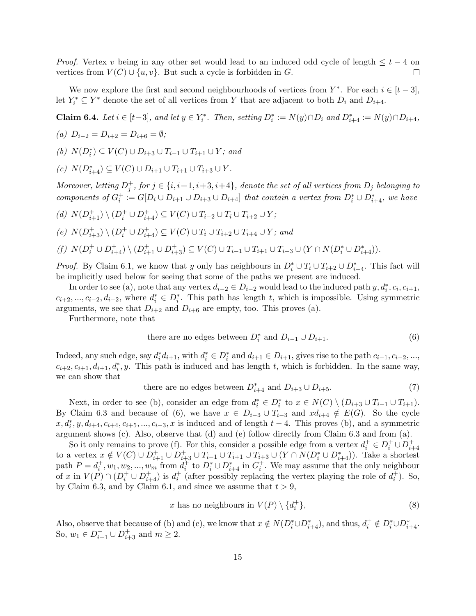*Proof.* Vertex v being in any other set would lead to an induced odd cycle of length  $\leq t - 4$  on vertices from  $V(C) \cup \{u, v\}$ . But such a cycle is forbidden in G.  $\Box$ 

We now explore the first and second neighbourhoods of vertices from  $Y^*$ . For each  $i \in [t-3]$ , let  $Y_i^* \subseteq Y^*$  denote the set of all vertices from Y that are adjacent to both  $D_i$  and  $D_{i+4}$ .

Claim 6.4. Let  $i \in [t-3]$ , and let  $y \in Y_i^*$ . Then, setting  $D_i^* := N(y) \cap D_i$  and  $D_{i+4}^* := N(y) \cap D_{i+4}$ ,

(a) 
$$
D_{i-2} = D_{i+2} = D_{i+6} = \emptyset;
$$

(b)  $N(D_i^*)$  ⊆  $V(C)$  ∪  $D_{i+3}$  ∪  $T_{i-1}$  ∪  $T_{i+1}$  ∪  $Y$ ; and

(c)  $N(D_{i+4}^*) \subseteq V(C) \cup D_{i+1} \cup T_{i+1} \cup T_{i+3} \cup Y$ .

Moreover, letting  $D_j^+$ , for  $j \in \{i, i+1, i+3, i+4\}$ , denote the set of all vertices from  $D_j$  belonging to components of  $G_i^+ := G[D_i \cup D_{i+1} \cup D_{i+3} \cup D_{i+4}]$  that contain a vertex from  $D_i^* \cup D_{i+4}^*$ , we have

$$
(d)\ \, N(D^+_{i+1})\setminus (D^+_i\cup D^+_{i+4})\subseteq V(C)\cup T_{i-2}\cup T_i\cup T_{i+2}\cup Y;
$$

(e) 
$$
N(D_{i+3}^+) \setminus (D_i^+ \cup D_{i+4}^+) \subseteq V(C) \cup T_i \cup T_{i+2} \cup T_{i+4} \cup Y
$$
; and

$$
(f)~~N(D_i^+\cup D_{i+4}^+)\setminus (D_{i+1}^+\cup D_{i+3}^+)\subseteq V(C)\cup T_{i-1}\cup T_{i+1}\cup T_{i+3}\cup (Y\cap N(D_i^*\cup D_{i+4}^*)).
$$

*Proof.* By Claim 6.1, we know that y only has neighbours in  $D_i^* \cup T_i \cup T_{i+2} \cup D_{i+4}^*$ . This fact will be implicitly used below for seeing that some of the paths we present are induced.

In order to see (a), note that any vertex  $d_{i-2} \in D_{i-2}$  would lead to the induced path  $y, d_i^*, c_i, c_{i+1},$  $c_{i+2},...,c_{i-2},d_{i-2}$ , where  $d_i^* \in D_i^*$ . This path has length t, which is impossible. Using symmetric arguments, we see that  $D_{i+2}$  and  $D_{i+6}$  are empty, too. This proves (a).

Furthermore, note that

there are no edges between 
$$
D_i^*
$$
 and  $D_{i-1} \cup D_{i+1}$ . (6)

Indeed, any such edge, say  $d_i^* d_{i+1}$ , with  $d_i^* \in D_i^*$  and  $d_{i+1} \in D_{i+1}$ , gives rise to the path  $c_{i-1}, c_{i-2}, ...,$  $c_{i+2}, c_{i+1}, d_{i+1}, d_i^*, y$ . This path is induced and has length t, which is forbidden. In the same way, we can show that

there are no edges between 
$$
D_{i+4}^*
$$
 and  $D_{i+3} \cup D_{i+5}$ . (7)

Next, in order to see (b), consider an edge from  $d_i^* \in D_i^*$  to  $x \in N(C) \setminus (D_{i+3} \cup T_{i-1} \cup T_{i+1})$ . By Claim 6.3 and because of (6), we have  $x \in D_{i-3} \cup T_{i-3}$  and  $x d_{i+4} \notin E(G)$ . So the cycle  $x, d_i^*, y, d_{i+4}, c_{i+4}, c_{i+5}, ..., c_{i-3}, x$  is induced and of length  $t-4$ . This proves (b), and a symmetric argument shows (c). Also, observe that (d) and (e) follow directly from Claim 6.3 and from (a).

So it only remains to prove (f). For this, consider a possible edge from a vertex  $d_i^+ \in D_i^+ \cup D_{i+4}^+$ to a vertex  $x \notin V(C) \cup D_{i+1}^+ \cup D_{i+3}^+ \cup T_{i-1} \cup T_{i+1} \cup T_{i+3} \cup (Y \cap N(D_i^* \cup D_{i+4}^*)).$  Take a shortest path  $P = d_i^+, w_1, w_2, ..., w_m$  from  $d_i^+$  to  $D_i^* \cup D_{i+4}^*$  in  $G_i^+$ . We may assume that the only neighbour of x in  $V(P) \cap (D_i^+ \cup D_{i+4}^+)$  is  $d_i^+$  (after possibly replacing the vertex playing the role of  $d_i^+$ ). So, by Claim 6.3, and by Claim 6.1, and since we assume that  $t > 9$ ,

$$
x \text{ has no neighbours in } V(P) \setminus \{d_i^+\},\tag{8}
$$

Also, observe that because of (b) and (c), we know that  $x \notin N(D_i^* \cup D_{i+4}^*)$ , and thus,  $d_i^+ \notin D_i^* \cup D_{i+4}^*$ . So,  $w_1 \in D_{i+1}^+ \cup D_{i+3}^+$  and  $m \ge 2$ .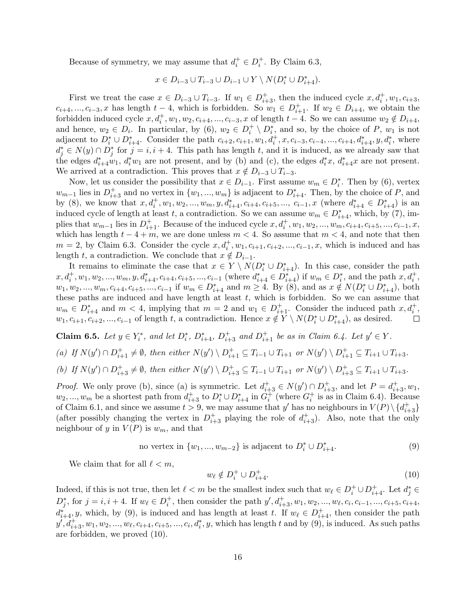Because of symmetry, we may assume that  $d_i^+ \in D_i^+$ . By Claim 6.3,

$$
x\in D_{i-3}\cup T_{i-3}\cup D_{i-1}\cup Y\setminus N(D^*_i\cup D^*_{i+4}).
$$

First we treat the case  $x \in D_{i-3} \cup T_{i-3}$ . If  $w_1 \in D_{i+3}^+$ , then the induced cycle  $x, d_i^+, w_1, c_{i+3}$ ,  $c_{i+4},...,c_{i-3},x$  has length  $t-4$ , which is forbidden. So  $w_1 \in D_{i+1}^+$ . If  $w_2 \in D_{i+4}$ , we obtain the forbidden induced cycle  $x, d_i^+, w_1, w_2, c_{i+4}, ..., c_{i-3}, x$  of length  $t-4$ . So we can assume  $w_2 \notin D_{i+4}$ , and hence,  $w_2 \in D_i$ . In particular, by (6),  $w_2 \in D_i^+ \setminus D_i^*$ , and so, by the choice of P,  $w_1$  is not adjacent to  $D_i^* \cup D_{i+4}^*$ . Consider the path  $c_{i+2}, c_{i+1}, w_1, d_i^+, x, c_{i-3}, c_{i-4}, ..., c_{i+4}, d_{i+4}^*, y, d_i^*$ , where  $d_j^* \in N(y) \cap D_j^*$  for  $j = i, i + 4$ . This path has length t, and it is induced, as we already saw that the edges  $d_{i+4}^*w_1$ ,  $d_i^*w_1$  are not present, and by (b) and (c), the edges  $d_i^*x$ ,  $d_{i+4}^*x$  are not present. We arrived at a contradiction. This proves that  $x \notin D_{i-3} \cup T_{i-3}$ .

Now, let us consider the possibility that  $x \in D_{i-1}$ . First assume  $w_m \in D_i^*$ . Then by (6), vertex  $w_{m-1}$  lies in  $D_{i+3}^+$  and no vertex in  $\{w_1, ..., w_m\}$  is adjacent to  $D_{i+4}^*$ . Then, by the choice of P, and by (8), we know that  $x, d_i^+, w_1, w_2, ..., w_m, y, d_{i+4}^*, c_{i+4}, c_{i+5}, ..., c_{i-1}, x$  (where  $d_{i+4}^* \in D_{i+4}^*$ ) is an induced cycle of length at least t, a contradiction. So we can assume  $w_m \in D_{i+4}^*$ , which, by (7), implies that  $w_{m-1}$  lies in  $D_{i+1}^+$ . Because of the induced cycle  $x, d_i^+, w_1, w_2, ..., w_m, c_{i+4}, c_{i+5}, ..., c_{i-1}, x$ , which has length  $t - 4 + m$ , we are done unless  $m < 4$ . So assume that  $m < 4$ , and note that then  $m = 2$ , by Claim 6.3. Consider the cycle  $x, d_i^+, w_1, c_{i+1}, c_{i+2}, ..., c_{i-1}, x$ , which is induced and has length t, a contradiction. We conclude that  $x \notin D_{i-1}$ .

It remains to eliminate the case that  $x \in Y \setminus N(D_i^* \cup D_{i+4}^*)$ . In this case, consider the path  $x, d_i^+, w_1, w_2, ..., w_m, y, d_{i+4}^*, c_{i+4}, c_{i+5}, ..., c_{i-1}$  (where  $d_{i+4}^* \in D_{i+4}^*$ ) if  $w_m \in D_i^*$ , and the path  $x, d_i^+$ ,  $w_1, w_2, ..., w_m, c_{i+4}, c_{i+5}, ..., c_{i-1}$  if  $w_m \in D_{i+4}^*$  and  $m \ge 4$ . By (8), and as  $x \notin N(D_i^* \cup D_{i+4}^*)$ , both these paths are induced and have length at least  $t$ , which is forbidden. So we can assume that  $w_m \in D_{i+4}^*$  and  $m < 4$ , implying that  $m = 2$  and  $w_1 \in D_{i+1}^+$ . Consider the induced path  $x, d_i^+$ ,  $w_1, c_{i+1}, c_{i+2}, ..., c_{i-1}$  of length t, a contradiction. Hence  $x \notin Y \setminus N(D_i^* \cup D_{i+4}^*)$ , as desired.  $\Box$ 

**Claim 6.5.** Let  $y \in Y_i^*$ , and let  $D_i^*$ ,  $D_{i+4}^*$ ,  $D_{i+3}^+$  and  $D_{i+1}^+$  be as in Claim 6.4. Let  $y' \in Y$ .

(a) If 
$$
N(y') \cap D_{i+1}^+ \neq \emptyset
$$
, then either  $N(y') \setminus D_{i+1}^+ \subseteq T_{i-1} \cup T_{i+1}$  or  $N(y') \setminus D_{i+1}^+ \subseteq T_{i+1} \cup T_{i+3}$ .

(b) If 
$$
N(y') \cap D_{i+3}^+ \neq \emptyset
$$
, then either  $N(y') \setminus D_{i+3}^+ \subseteq T_{i-1} \cup T_{i+1}$  or  $N(y') \setminus D_{i+3}^+ \subseteq T_{i+1} \cup T_{i+3}$ .

*Proof.* We only prove (b), since (a) is symmetric. Let  $d_{i+3}^+ \in N(y') \cap D_{i+3}^+$ , and let  $P = d_{i+3}^+$ ,  $w_1$ ,  $w_2, ..., w_m$  be a shortest path from  $d_{i+3}^+$  to  $D_i^* \cup D_{i+4}^*$  in  $G_i^+$  (where  $G_i^+$  is as in Claim 6.4). Because of Claim 6.1, and since we assume  $t > 9$ , we may assume that y' has no neighbours in  $V(P) \setminus \{d_{i+3}^+\}$ (after possibly changing the vertex in  $D_{i+3}^+$  playing the role of  $d_{i+3}^+$ ). Also, note that the only neighbour of y in  $V(P)$  is  $w_m$ , and that

no vertex in 
$$
\{w_1, ..., w_{m-2}\}
$$
 is adjacent to  $D_i^* \cup D_{i+4}^*$ . (9)

We claim that for all  $\ell < m$ ,

$$
w_{\ell} \notin D_i^+ \cup D_{i+4}^+.
$$
\n<sup>(10)</sup>

Indeed, if this is not true, then let  $\ell < m$  be the smallest index such that  $w_{\ell} \in D_i^+ \cup D_{i+4}^+$ . Let  $d_j^* \in D_i$  $D_j^*$ , for  $j = i, i + 4$ . If  $w_\ell \in D_i^+$ , then consider the path  $y', d_{i+3}^+$ ,  $w_1, w_2, ..., w_\ell, c_i, c_{i-1}, ..., c_{i+5}, c_{i+4}$ ,  $d_{i+4}^*, y$ , which, by (9), is induced and has length at least t. If  $w_\ell \in D_{i+4}^+$ , then consider the path  $y', d_{i+3}^+, w_1, w_2, ..., w_{\ell}, c_{i+4}, c_{i+5}, ..., c_i, d_i^*, y$ , which has length t and by  $(9)$ , is induced. As such paths are forbidden, we proved (10).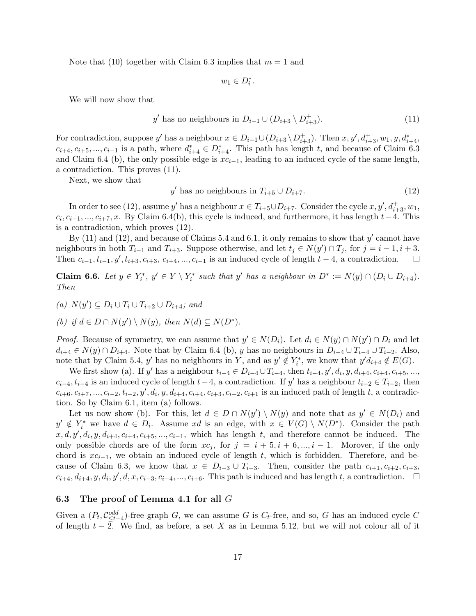Note that (10) together with Claim 6.3 implies that  $m = 1$  and

$$
w_1 \in D_i^*.
$$

We will now show that

$$
y' \text{ has no neighbours in } D_{i-1} \cup (D_{i+3} \setminus D_{i+3}^+). \tag{11}
$$

For contradiction, suppose y' has a neighbour  $x \in D_{i-1} \cup (D_{i+3} \setminus D_{i+3}^+)$ . Then  $x, y', d_{i+3}^+$ ,  $w_1, y, d_{i+4}^*$ ,  $c_{i+4}, c_{i+5}, ..., c_{i-1}$  is a path, where  $d_{i+4}^* \in D_{i+4}^*$ . This path has length t, and because of Claim 6.3 and Claim 6.4 (b), the only possible edge is  $xc_{i-1}$ , leading to an induced cycle of the same length, a contradiction. This proves (11).

Next, we show that

$$
y' \text{ has no neighbours in } T_{i+5} \cup D_{i+7}. \tag{12}
$$

In order to see (12), assume y' has a neighbour  $x \in T_{i+5} \cup D_{i+7}$ . Consider the cycle  $x, y', d_{i+3}^+$ ,  $w_1$ ,  $c_i, c_{i-1}, ..., c_{i+7}, x$ . By Claim 6.4(b), this cycle is induced, and furthermore, it has length  $t-4$ . This is a contradiction, which proves (12).

By  $(11)$  and  $(12)$ , and because of Claims 5.4 and 6.1, it only remains to show that  $y'$  cannot have neighbours in both  $T_{i-1}$  and  $T_{i+3}$ . Suppose otherwise, and let  $t_j \in N(y') \cap T_j$ , for  $j = i - 1, i + 3$ . Then  $c_{i-1}, t_{i-1}, y', t_{i+3}, c_{i+3}, c_{i+4}, ..., c_{i-1}$  is an induced cycle of length  $t-4$ , a contradiction.  $\Box$ 

**Claim 6.6.** Let  $y \in Y_i^*$ ,  $y' \in Y \setminus Y_i^*$  such that y' has a neighbour in  $D^* := N(y) \cap (D_i \cup D_{i+4})$ . Then

(a)  $N(y') \subseteq D_i \cup T_i \cup T_{i+2} \cup D_{i+4}$ ; and

(b) if  $d \in D \cap N(y') \setminus N(y)$ , then  $N(d) \subseteq N(D^*)$ .

*Proof.* Because of symmetry, we can assume that  $y' \in N(D_i)$ . Let  $d_i \in N(y) \cap N(y') \cap D_i$  and let  $d_{i+4} \in N(y) \cap D_{i+4}$ . Note that by Claim 6.4 (b), y has no neighbours in  $D_{i-4} \cup T_{i-4} \cup T_{i-2}$ . Also, note that by Claim 5.4, y' has no neighbours in Y, and as  $y' \notin Y_i^*$ , we know that  $y'd_{i+4} \notin E(G)$ .

We first show (a). If y' has a neighbour  $t_{i-4} \in D_{i-4} \cup T_{i-4}$ , then  $t_{i-4}, y', d_i, y, d_{i+4}, c_{i+4}, c_{i+5}, ...,$  $c_{i-4}, t_{i-4}$  is an induced cycle of length  $t-4$ , a contradiction. If y' has a neighbour  $t_{i-2} \in T_{i-2}$ , then  $c_{i+6}, c_{i+7}, ..., c_{i-2}, t_{i-2}, y', d_i, y, d_{i+4}, c_{i+4}, c_{i+3}, c_{i+2}, c_{i+1}$  is an induced path of length t, a contradiction. So by Claim 6.1, item (a) follows.

Let us now show (b). For this, let  $d \in D \cap N(y') \setminus N(y)$  and note that as  $y' \in N(D_i)$  and  $y' \notin Y_i^*$  we have  $d \in D_i$ . Assume xd is an edge, with  $x \in V(G) \setminus N(D^*)$ . Consider the path  $x, d, y', d_i, y, d_{i+4}, c_{i+4}, c_{i+5}, \ldots, c_{i-1}$ , which has length t, and therefore cannot be induced. The only possible chords are of the form  $xc_j$ , for  $j = i + 5, i + 6, ..., i - 1$ . Morover, if the only chord is  $xc_{i-1}$ , we obtain an induced cycle of length t, which is forbidden. Therefore, and because of Claim 6.3, we know that  $x \in D_{i-3} \cup T_{i-3}$ . Then, consider the path  $c_{i+1}, c_{i+2}, c_{i+3}$ ,  $c_{i+4}, d_{i+4}, y, d_i, y', d, x, c_{i-3}, c_{i-4}, ..., c_{i+6}$ . This path is induced and has length t, a contradiction.

#### 6.3 The proof of Lemma 4.1 for all  $G$

Given a  $(P_t, \mathcal{C}_{\leq t-4}^{odd})$ -free graph G, we can assume G is  $C_t$ -free, and so, G has an induced cycle C of length  $t - \overline{2}$ . We find, as before, a set X as in Lemma 5.12, but we will not colour all of it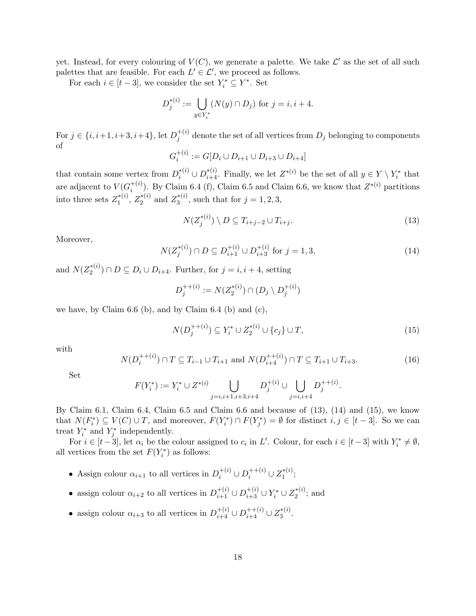yet. Instead, for every colouring of  $V(C)$ , we generate a palette. We take  $\mathcal{L}'$  as the set of all such palettes that are feasible. For each  $L' \in \mathcal{L}'$ , we proceed as follows.

For each  $i \in [t-3]$ , we consider the set  $Y_i^* \subseteq Y^*$ . Set

$$
D_j^{*(i)} := \bigcup_{y \in Y_i^*} (N(y) \cap D_j) \text{ for } j = i, i + 4.
$$

For  $j \in \{i, i+1, i+3, i+4\}$ , let  $D_i^{+(i)}$  $j_j^{(i)}$  denote the set of all vertices from  $D_j$  belonging to components of

$$
G_i^{+(i)} := G[D_i \cup D_{i+1} \cup D_{i+3} \cup D_{i+4}]
$$

that contain some vertex from  $D_i^{*(i)} \cup D_{i+4}^{*(i)}$ . Finally, we let  $Z^{*(i)}$  be the set of all  $y \in Y \setminus Y_i^*$  that are adjacent to  $V(G_i^{+(i)})$ <sup>+(i)</sup>). By Claim 6.4 (f), Claim 6.5 and Claim 6.6, we know that  $Z^{*(i)}$  partitions into three sets  $Z_1^{*(i)}$  $Z_1^{*(i)}$ ,  $Z_2^{*(i)}$  $z_2^{*(i)}$  and  $Z_3^{*(i)}$  $j_3^{*(i)}$ , such that for  $j = 1, 2, 3$ ,

$$
N(Z_j^{*(i)}) \setminus D \subseteq T_{i+j-2} \cup T_{i+j}.\tag{13}
$$

Moreover,

$$
N(Z_j^{*(i)}) \cap D \subseteq D_{i+1}^{+(i)} \cup D_{i+3}^{+(i)} \text{ for } j = 1, 3,
$$
\n(14)

and  $N(Z_2^{*(i)})$  $2^{*(i)}$   $\cap$   $D \subseteq D_i \cup D_{i+4}$ . Further, for  $j = i, i+4$ , setting

$$
D_j^{++(i)} := N(Z_2^{*(i)}) \cap (D_j \setminus D_j^{+(i)})
$$

we have, by Claim  $6.6$  (b), and by Claim  $6.4$  (b) and (c),

$$
N(D_j^{++(i)}) \subseteq Y_i^* \cup Z_2^{*(i)} \cup \{c_j\} \cup T,\tag{15}
$$

.

with

$$
N(D_i^{++(i)}) \cap T \subseteq T_{i-1} \cup T_{i+1} \text{ and } N(D_{i+4}^{++(i)}) \cap T \subseteq T_{i+1} \cup T_{i+3}.
$$
 (16)

Set

$$
F(Y_i^*) := Y_i^* \cup Z^{*(i)} \bigcup_{j=i, i+1, i+3, i+4} D_j^{+(i)} \cup \bigcup_{j=i, i+4} D_j^{+(i)}
$$

By Claim 6.1, Claim 6.4, Claim 6.5 and Claim 6.6 and because of (13), (14) and (15), we know that  $N(F_i^*) \subseteq V(C) \cup T$ , and moreover,  $F(Y_i^*) \cap F(Y_j^*) = \emptyset$  for distinct  $i, j \in [t-3]$ . So we can treat  $Y_i^*$  and  $Y_j^*$  independently.

For  $i \in [t-3]$ , let  $\alpha_i$  be the colour assigned to  $c_i$  in L'. Colour, for each  $i \in [t-3]$  with  $Y_i^* \neq \emptyset$ , all vertices from the set  $F(Y_i^*)$  as follows:

- Assign colour  $\alpha_{i+1}$  to all vertices in  $D_i^{+(i)} \cup D_i^{+(i)} \cup Z_1^{*(i)}$  $\,1^{\ast(i)}$ ;
- assign colour  $\alpha_{i+2}$  to all vertices in  $D_{i+1}^{+(i)} \cup D_{i+3}^{+(i)} \cup Y_i^* \cup Z_2^{*(i)}$  $i_{2}^{*(i)}$ ; and
- assign colour  $\alpha_{i+3}$  to all vertices in  $D_{i+4}^{+(i)} \cup D_{i+4}^{+(i)} \cup Z_3^{*(i)}$  $3^{*(i)}.$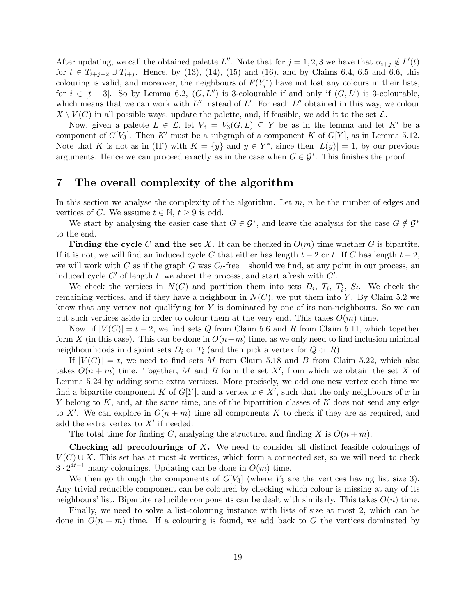After updating, we call the obtained palette L''. Note that for  $j = 1, 2, 3$  we have that  $\alpha_{i+j} \notin L'(t)$ for  $t \in T_{i+j-2} \cup T_{i+j}$ . Hence, by (13), (14), (15) and (16), and by Claims 6.4, 6.5 and 6.6, this colouring is valid, and moreover, the neighbours of  $F(Y_i^*)$  have not lost any colours in their lists, for  $i \in [t-3]$ . So by Lemma 6.2,  $(G, L'')$  is 3-colourable if and only if  $(G, L')$  is 3-colourable, which means that we can work with  $L''$  instead of  $L'$ . For each  $L''$  obtained in this way, we colour  $X \setminus V(C)$  in all possible ways, update the palette, and, if feasible, we add it to the set  $\mathcal{L}$ .

Now, given a palette  $L \in \mathcal{L}$ , let  $V_3 = V_3(G, L) \subseteq Y$  be as in the lemma and let K' be a component of  $G[V_3]$ . Then K' must be a subgraph of a component K of  $G[Y]$ , as in Lemma 5.12. Note that K is not as in (II') with  $K = \{y\}$  and  $y \in Y^*$ , since then  $|L(y)| = 1$ , by our previous arguments. Hence we can proceed exactly as in the case when  $G \in \mathcal{G}^*$ . This finishes the proof.

## 7 The overall complexity of the algorithm

In this section we analyse the complexity of the algorithm. Let  $m$ ,  $n$  be the number of edges and vertices of G. We assume  $t \in \mathbb{N}, t \geq 9$  is odd.

We start by analysing the easier case that  $G \in \mathcal{G}^*$ , and leave the analysis for the case  $G \notin \mathcal{G}^*$ to the end.

Finding the cycle C and the set X. It can be checked in  $O(m)$  time whether G is bipartite. If it is not, we will find an induced cycle C that either has length  $t-2$  or t. If C has length  $t-2$ . we will work with C as if the graph G was  $C_t$ -free – should we find, at any point in our process, an induced cycle  $C'$  of length t, we abort the process, and start afresh with  $C'$ .

We check the vertices in  $N(C)$  and partition them into sets  $D_i$ ,  $T_i$ ,  $T'_i$ ,  $S_i$ . We check the remaining vertices, and if they have a neighbour in  $N(C)$ , we put them into Y. By Claim 5.2 we know that any vertex not qualifying for  $Y$  is dominated by one of its non-neighbours. So we can put such vertices aside in order to colour them at the very end. This takes  $O(m)$  time.

Now, if  $|V(C)| = t - 2$ , we find sets Q from Claim 5.6 and R from Claim 5.11, which together form X (in this case). This can be done in  $O(n+m)$  time, as we only need to find inclusion minimal neighbourhoods in disjoint sets  $D_i$  or  $T_i$  (and then pick a vertex for  $Q$  or  $R$ ).

If  $|V(C)| = t$ , we need to find sets M from Claim 5.18 and B from Claim 5.22, which also takes  $O(n+m)$  time. Together, M and B form the set X', from which we obtain the set X of Lemma 5.24 by adding some extra vertices. More precisely, we add one new vertex each time we find a bipartite component K of  $G[Y]$ , and a vertex  $x \in X'$ , such that the only neighbours of x in Y belong to  $K$ , and, at the same time, one of the bipartition classes of  $K$  does not send any edge to X'. We can explore in  $O(n + m)$  time all components K to check if they are as required, and add the extra vertex to  $X'$  if needed.

The total time for finding C, analysing the structure, and finding X is  $O(n+m)$ .

**Checking all precolourings of X.** We need to consider all distinct feasible colourings of  $V(C) \cup X$ . This set has at most 4t vertices, which form a connected set, so we will need to check  $3 \cdot 2^{4t-1}$  many colourings. Updating can be done in  $O(m)$  time.

We then go through the components of  $G[V_3]$  (where  $V_3$  are the vertices having list size 3). Any trivial reducible component can be coloured by checking which colour is missing at any of its neighbours' list. Bipartite reducible components can be dealt with similarly. This takes  $O(n)$  time.

Finally, we need to solve a list-colouring instance with lists of size at most 2, which can be done in  $O(n+m)$  time. If a colouring is found, we add back to G the vertices dominated by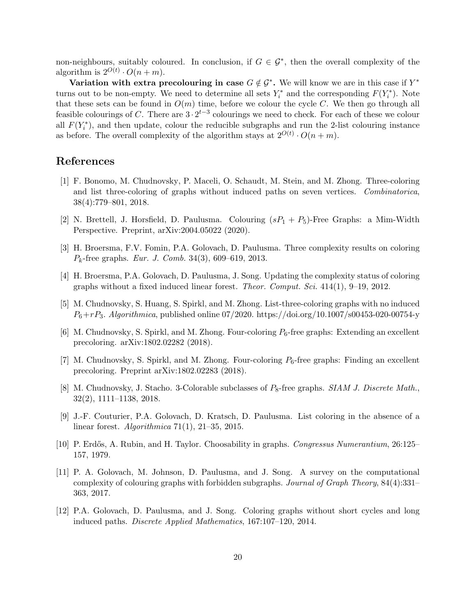non-neighbours, suitably coloured. In conclusion, if  $G \in \mathcal{G}^*$ , then the overall complexity of the algorithm is  $2^{O(t)} \cdot O(n+m)$ .

Variation with extra precolouring in case  $G \notin \mathcal{G}^*$ . We will know we are in this case if  $Y^*$ turns out to be non-empty. We need to determine all sets  $Y_i^*$  and the corresponding  $F(Y_i^*)$ . Note that these sets can be found in  $O(m)$  time, before we colour the cycle C. We then go through all feasible colourings of C. There are  $3 \cdot 2^{t-3}$  colourings we need to check. For each of these we colour all  $F(Y_i^*)$ , and then update, colour the reducible subgraphs and run the 2-list colouring instance as before. The overall complexity of the algorithm stays at  $2^{O(t)} \cdot O(n+m)$ .

## References

- [1] F. Bonomo, M. Chudnovsky, P. Maceli, O. Schaudt, M. Stein, and M. Zhong. Three-coloring and list three-coloring of graphs without induced paths on seven vertices. Combinatorica, 38(4):779–801, 2018.
- [2] N. Brettell, J. Horsfield, D. Paulusma. Colouring  $(sP_1 + P_5)$ -Free Graphs: a Mim-Width Perspective. Preprint, arXiv:2004.05022 (2020).
- [3] H. Broersma, F.V. Fomin, P.A. Golovach, D. Paulusma. Three complexity results on coloring  $P_k$ -free graphs. *Eur. J. Comb.* 34(3), 609–619, 2013.
- [4] H. Broersma, P.A. Golovach, D. Paulusma, J. Song. Updating the complexity status of coloring graphs without a fixed induced linear forest. Theor. Comput. Sci. 414(1), 9–19, 2012.
- [5] M. Chudnovsky, S. Huang, S. Spirkl, and M. Zhong. List-three-coloring graphs with no induced  $P_6+rP_3$ . Algorithmica, published online 07/2020. https://doi.org/10.1007/s00453-020-00754-y
- [6] M. Chudnovsky, S. Spirkl, and M. Zhong. Four-coloring  $P_6$ -free graphs: Extending an excellent precoloring. arXiv:1802.02282 (2018).
- [7] M. Chudnovsky, S. Spirkl, and M. Zhong. Four-coloring  $P_6$ -free graphs: Finding an excellent precoloring. Preprint arXiv:1802.02283 (2018).
- [8] M. Chudnovsky, J. Stacho. 3-Colorable subclasses of  $P_8$ -free graphs. SIAM J. Discrete Math., 32(2), 1111–1138, 2018.
- [9] J.-F. Couturier, P.A. Golovach, D. Kratsch, D. Paulusma. List coloring in the absence of a linear forest. Algorithmica 71(1), 21–35, 2015.
- [10] P. Erdős, A. Rubin, and H. Taylor. Choosability in graphs. Congressus Numerantium, 26:125– 157, 1979.
- [11] P. A. Golovach, M. Johnson, D. Paulusma, and J. Song. A survey on the computational complexity of colouring graphs with forbidden subgraphs. Journal of Graph Theory, 84(4):331– 363, 2017.
- [12] P.A. Golovach, D. Paulusma, and J. Song. Coloring graphs without short cycles and long induced paths. Discrete Applied Mathematics, 167:107–120, 2014.